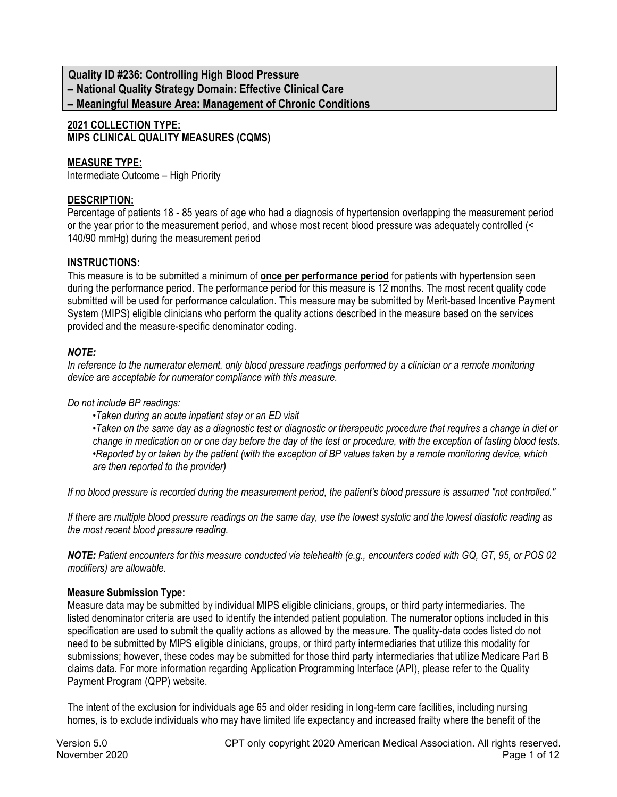**Quality ID #236: Controlling High Blood Pressure – National Quality Strategy Domain: Effective Clinical Care**

**– Meaningful Measure Area: Management of Chronic Conditions**

## **2021 COLLECTION TYPE: MIPS CLINICAL QUALITY MEASURES (CQMS)**

# **MEASURE TYPE:**

Intermediate Outcome – High Priority

# **DESCRIPTION:**

Percentage of patients 18 - 85 years of age who had a diagnosis of hypertension overlapping the measurement period or the year prior to the measurement period, and whose most recent blood pressure was adequately controlled (< 140/90 mmHg) during the measurement period

## **INSTRUCTIONS:**

This measure is to be submitted a minimum of **once per performance period** for patients with hypertension seen during the performance period. The performance period for this measure is 12 months. The most recent quality code submitted will be used for performance calculation. This measure may be submitted by Merit-based Incentive Payment System (MIPS) eligible clinicians who perform the quality actions described in the measure based on the services provided and the measure-specific denominator coding.

## *NOTE:*

*In reference to the numerator element, only blood pressure readings performed by a clinician or a remote monitoring device are acceptable for numerator compliance with this measure.* 

*Do not include BP readings:* 

*•Taken during an acute inpatient stay or an ED visit*

*•Taken on the same day as a diagnostic test or diagnostic or therapeutic procedure that requires a change in diet or change in medication on or one day before the day of the test or procedure, with the exception of fasting blood tests. •Reported by or taken by the patient (with the exception of BP values taken by a remote monitoring device, which are then reported to the provider)*

*If no blood pressure is recorded during the measurement period, the patient's blood pressure is assumed "not controlled."* 

*If there are multiple blood pressure readings on the same day, use the lowest systolic and the lowest diastolic reading as the most recent blood pressure reading.*

*NOTE: Patient encounters for this measure conducted via telehealth (e.g., encounters coded with GQ, GT, 95, or POS 02 modifiers) are allowable.*

# **Measure Submission Type:**

Measure data may be submitted by individual MIPS eligible clinicians, groups, or third party intermediaries. The listed denominator criteria are used to identify the intended patient population. The numerator options included in this specification are used to submit the quality actions as allowed by the measure. The quality-data codes listed do not need to be submitted by MIPS eligible clinicians, groups, or third party intermediaries that utilize this modality for submissions; however, these codes may be submitted for those third party intermediaries that utilize Medicare Part B claims data. For more information regarding Application Programming Interface (API), please refer to the Quality Payment Program (QPP) website.

The intent of the exclusion for individuals age 65 and older residing in long-term care facilities, including nursing homes, is to exclude individuals who may have limited life expectancy and increased frailty where the benefit of the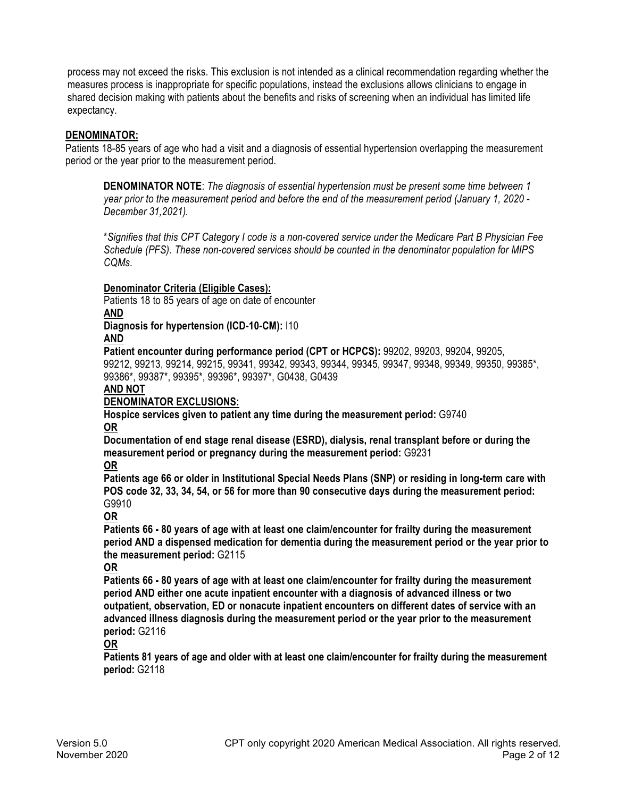process may not exceed the risks. This exclusion is not intended as a clinical recommendation regarding whether the measures process is inappropriate for specific populations, instead the exclusions allows clinicians to engage in shared decision making with patients about the benefits and risks of screening when an individual has limited life expectancy.

## **DENOMINATOR:**

Patients 18-85 years of age who had a visit and a diagnosis of essential hypertension overlapping the measurement period or the year prior to the measurement period.

**DENOMINATOR NOTE**: *The diagnosis of essential hypertension must be present some time between 1 year prior to the measurement period and before the end of the measurement period (January 1, 2020 - December 31,2021).*

\**Signifies that this CPT Category I code is a non-covered service under the Medicare Part B Physician Fee Schedule (PFS). These non-covered services should be counted in the denominator population for MIPS CQMs.*

### **Denominator Criteria (Eligible Cases):**

Patients 18 to 85 years of age on date of encounter

# **AND**

**Diagnosis for hypertension (ICD-10-CM):** I10

### **AND**

**Patient encounter during performance period (CPT or HCPCS):** 99202, 99203, 99204, 99205, 99212, 99213, 99214, 99215, 99341, 99342, 99343, 99344, 99345, 99347, 99348, 99349, 99350, 99385\*,

99386\*, 99387\*, 99395\*, 99396\*, 99397\*, G0438, G0439

### **AND NOT**

## **DENOMINATOR EXCLUSIONS:**

**Hospice services given to patient any time during the measurement period:** G9740 **OR**

**Documentation of end stage renal disease (ESRD), dialysis, renal transplant before or during the measurement period or pregnancy during the measurement period:** G9231

**OR**

**Patients age 66 or older in Institutional Special Needs Plans (SNP) or residing in long-term care with POS code 32, 33, 34, 54, or 56 for more than 90 consecutive days during the measurement period:** G9910

## **OR**

**Patients 66 - 80 years of age with at least one claim/encounter for frailty during the measurement period AND a dispensed medication for dementia during the measurement period or the year prior to the measurement period:** G2115

## **OR**

**Patients 66 - 80 years of age with at least one claim/encounter for frailty during the measurement period AND either one acute inpatient encounter with a diagnosis of advanced illness or two outpatient, observation, ED or nonacute inpatient encounters on different dates of service with an advanced illness diagnosis during the measurement period or the year prior to the measurement period:** G2116

## **OR**

**Patients 81 years of age and older with at least one claim/encounter for frailty during the measurement period:** G2118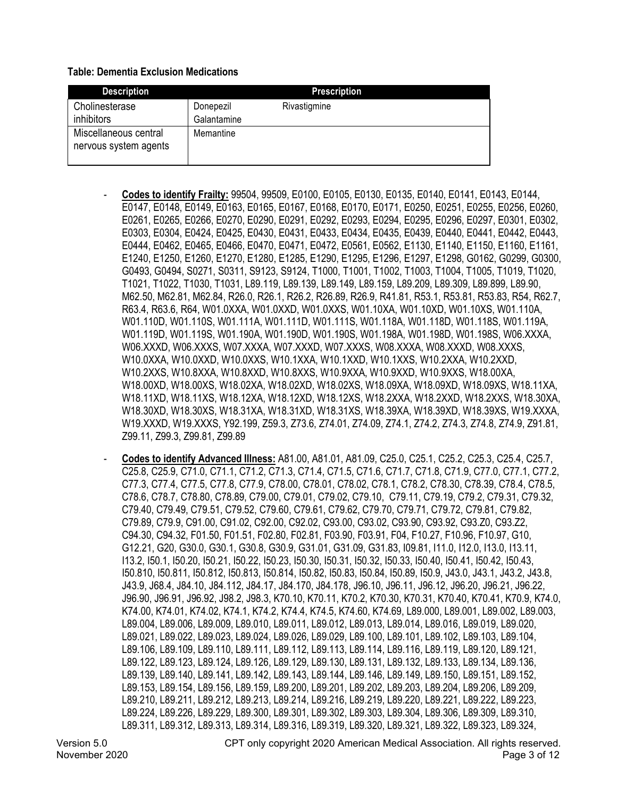#### **Table: Dementia Exclusion Medications**

| <b>Description</b>                             |                          | <b>Prescription</b> |
|------------------------------------------------|--------------------------|---------------------|
| Cholinesterase<br>inhibitors                   | Donepezil<br>Galantamine | Rivastigmine        |
| Miscellaneous central<br>nervous system agents | Memantine                |                     |

- **Codes to identify Frailty:** 99504, 99509, E0100, E0105, E0130, E0135, E0140, E0141, E0143, E0144, E0147, E0148, E0149, E0163, E0165, E0167, E0168, E0170, E0171, E0250, E0251, E0255, E0256, E0260, E0261, E0265, E0266, E0270, E0290, E0291, E0292, E0293, E0294, E0295, E0296, E0297, E0301, E0302, E0303, E0304, E0424, E0425, E0430, E0431, E0433, E0434, E0435, E0439, E0440, E0441, E0442, E0443, E0444, E0462, E0465, E0466, E0470, E0471, E0472, E0561, E0562, E1130, E1140, E1150, E1160, E1161, E1240, E1250, E1260, E1270, E1280, E1285, E1290, E1295, E1296, E1297, E1298, G0162, G0299, G0300, G0493, G0494, S0271, S0311, S9123, S9124, T1000, T1001, T1002, T1003, T1004, T1005, T1019, T1020, T1021, T1022, T1030, T1031, L89.119, L89.139, L89.149, L89.159, L89.209, L89.309, L89.899, L89.90, M62.50, M62.81, M62.84, R26.0, R26.1, R26.2, R26.89, R26.9, R41.81, R53.1, R53.81, R53.83, R54, R62.7, R63.4, R63.6, R64, W01.0XXA, W01.0XXD, W01.0XXS, W01.10XA, W01.10XD, W01.10XS, W01.110A, W01.110D, W01.110S, W01.111A, W01.111D, W01.111S, W01.118A, W01.118D, W01.118S, W01.119A, W01.119D, W01.119S, W01.190A, W01.190D, W01.190S, W01.198A, W01.198D, W01.198S, W06.XXXA, W06.XXXD, W06.XXXS, W07.XXXA, W07.XXXD, W07.XXXS, W08.XXXA, W08.XXXD, W08.XXXS, W10.0XXA, W10.0XXD, W10.0XXS, W10.1XXA, W10.1XXD, W10.1XXS, W10.2XXA, W10.2XXD, W10.2XXS, W10.8XXA, W10.8XXD, W10.8XXS, W10.9XXA, W10.9XXD, W10.9XXS, W18.00XA, W18.00XD, W18.00XS, W18.02XA, W18.02XD, W18.02XS, W18.09XA, W18.09XD, W18.09XS, W18.11XA, W18.11XD, W18.11XS, W18.12XA, W18.12XD, W18.12XS, W18.2XXA, W18.2XXD, W18.2XXS, W18.30XA, W18.30XD, W18.30XS, W18.31XA, W18.31XD, W18.31XS, W18.39XA, W18.39XD, W18.39XS, W19.XXXA, W19.XXXD, W19.XXXS, Y92.199, Z59.3, Z73.6, Z74.01, Z74.09, Z74.1, Z74.2, Z74.3, Z74.8, Z74.9, Z91.81, Z99.11, Z99.3, Z99.81, Z99.89
- **Codes to identify Advanced Illness:** A81.00, A81.01, A81.09, C25.0, C25.1, C25.2, C25.3, C25.4, C25.7, C25.8, C25.9, C71.0, C71.1, C71.2, C71.3, C71.4, C71.5, C71.6, C71.7, C71.8, C71.9, C77.0, C77.1, C77.2, C77.3, C77.4, C77.5, C77.8, C77.9, C78.00, C78.01, C78.02, C78.1, C78.2, C78.30, C78.39, C78.4, C78.5, C78.6, C78.7, C78.80, C78.89, C79.00, C79.01, C79.02, C79.10, C79.11, C79.19, C79.2, C79.31, C79.32, C79.40, C79.49, C79.51, C79.52, C79.60, C79.61, C79.62, C79.70, C79.71, C79.72, C79.81, C79.82, C79.89, C79.9, C91.00, C91.02, C92.00, C92.02, C93.00, C93.02, C93.90, C93.92, C93.Z0, C93.Z2, C94.30, C94.32, F01.50, F01.51, F02.80, F02.81, F03.90, F03.91, F04, F10.27, F10.96, F10.97, G10, G12.21, G20, G30.0, G30.1, G30.8, G30.9, G31.01, G31.09, G31.83, I09.81, I11.0, I12.0, I13.0, I13.11, I13.2, I50.1, I50.20, I50.21, I50.22, I50.23, I50.30, I50.31, I50.32, I50.33, I50.40, I50.41, I50.42, I50.43, I50.810, I50.811, I50.812, I50.813, I50.814, I50.82, I50.83, I50.84, I50.89, I50.9, J43.0, J43.1, J43.2, J43.8, J43.9, J68.4, J84.10, J84.112, J84.17, J84.170, J84.178, J96.10, J96.11, J96.12, J96.20, J96.21, J96.22, J96.90, J96.91, J96.92, J98.2, J98.3, K70.10, K70.11, K70.2, K70.30, K70.31, K70.40, K70.41, K70.9, K74.0, K74.00, K74.01, K74.02, K74.1, K74.2, K74.4, K74.5, K74.60, K74.69, L89.000, L89.001, L89.002, L89.003, L89.004, L89.006, L89.009, L89.010, L89.011, L89.012, L89.013, L89.014, L89.016, L89.019, L89.020, L89.021, L89.022, L89.023, L89.024, L89.026, L89.029, L89.100, L89.101, L89.102, L89.103, L89.104, L89.106, L89.109, L89.110, L89.111, L89.112, L89.113, L89.114, L89.116, L89.119, L89.120, L89.121, L89.122, L89.123, L89.124, L89.126, L89.129, L89.130, L89.131, L89.132, L89.133, L89.134, L89.136, L89.139, L89.140, L89.141, L89.142, L89.143, L89.144, L89.146, L89.149, L89.150, L89.151, L89.152, L89.153, L89.154, L89.156, L89.159, L89.200, L89.201, L89.202, L89.203, L89.204, L89.206, L89.209, L89.210, L89.211, L89.212, L89.213, L89.214, L89.216, L89.219, L89.220, L89.221, L89.222, L89.223, L89.224, L89.226, L89.229, L89.300, L89.301, L89.302, L89.303, L89.304, L89.306, L89.309, L89.310, L89.311, L89.312, L89.313, L89.314, L89.316, L89.319, L89.320, L89.321, L89.322, L89.323, L89.324,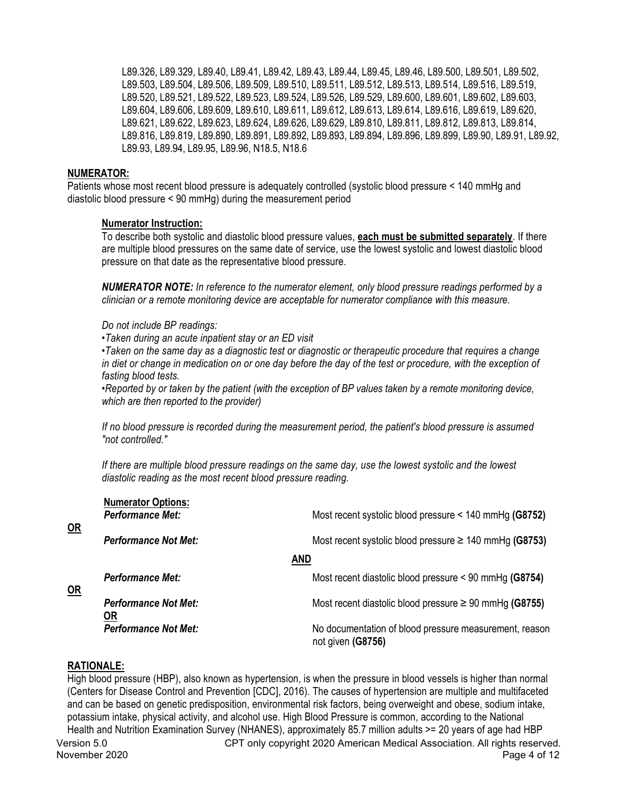L89.326, L89.329, L89.40, L89.41, L89.42, L89.43, L89.44, L89.45, L89.46, L89.500, L89.501, L89.502, L89.503, L89.504, L89.506, L89.509, L89.510, L89.511, L89.512, L89.513, L89.514, L89.516, L89.519, L89.520, L89.521, L89.522, L89.523, L89.524, L89.526, L89.529, L89.600, L89.601, L89.602, L89.603, L89.604, L89.606, L89.609, L89.610, L89.611, L89.612, L89.613, L89.614, L89.616, L89.619, L89.620, L89.621, L89.622, L89.623, L89.624, L89.626, L89.629, L89.810, L89.811, L89.812, L89.813, L89.814, L89.816, L89.819, L89.890, L89.891, L89.892, L89.893, L89.894, L89.896, L89.899, L89.90, L89.91, L89.92, L89.93, L89.94, L89.95, L89.96, N18.5, N18.6

#### **NUMERATOR:**

Patients whose most recent blood pressure is adequately controlled (systolic blood pressure < 140 mmHg and diastolic blood pressure < 90 mmHg) during the measurement period

### **Numerator Instruction:**

To describe both systolic and diastolic blood pressure values, **each must be submitted separately**. If there are multiple blood pressures on the same date of service, use the lowest systolic and lowest diastolic blood pressure on that date as the representative blood pressure.

*NUMERATOR NOTE: In reference to the numerator element, only blood pressure readings performed by a clinician or a remote monitoring device are acceptable for numerator compliance with this measure.* 

*Do not include BP readings:* 

*•Taken during an acute inpatient stay or an ED visit* 

*•Taken on the same day as a diagnostic test or diagnostic or therapeutic procedure that requires a change in diet or change in medication on or one day before the day of the test or procedure, with the exception of fasting blood tests.* 

*•Reported by or taken by the patient (with the exception of BP values taken by a remote monitoring device, which are then reported to the provider)*

*If no blood pressure is recorded during the measurement period, the patient's blood pressure is assumed "not controlled."* 

*If there are multiple blood pressure readings on the same day, use the lowest systolic and the lowest diastolic reading as the most recent blood pressure reading.*

| $OR$ | <b>Numerator Options:</b><br><b>Performance Met:</b> | Most recent systolic blood pressure $<$ 140 mmHg (G8752)                    |
|------|------------------------------------------------------|-----------------------------------------------------------------------------|
|      | <b>Performance Not Met:</b>                          | Most recent systolic blood pressure $\geq$ 140 mmHg (G8753)                 |
|      |                                                      | <b>AND</b>                                                                  |
| $OR$ | <b>Performance Met:</b>                              | Most recent diastolic blood pressure $\leq 90$ mmHg (G8754)                 |
|      | <b>Performance Not Met:</b><br><u>OR</u>             | Most recent diastolic blood pressure $\geq 90$ mmHg (G8755)                 |
|      | <b>Performance Not Met:</b>                          | No documentation of blood pressure measurement, reason<br>not given (G8756) |
|      |                                                      |                                                                             |

## **RATIONALE:**

High blood pressure (HBP), also known as hypertension, is when the pressure in blood vessels is higher than normal (Centers for Disease Control and Prevention [CDC], 2016). The causes of hypertension are multiple and multifaceted and can be based on genetic predisposition, environmental risk factors, being overweight and obese, sodium intake, potassium intake, physical activity, and alcohol use. High Blood Pressure is common, according to the National Health and Nutrition Examination Survey (NHANES), approximately 85.7 million adults >= 20 years of age had HBP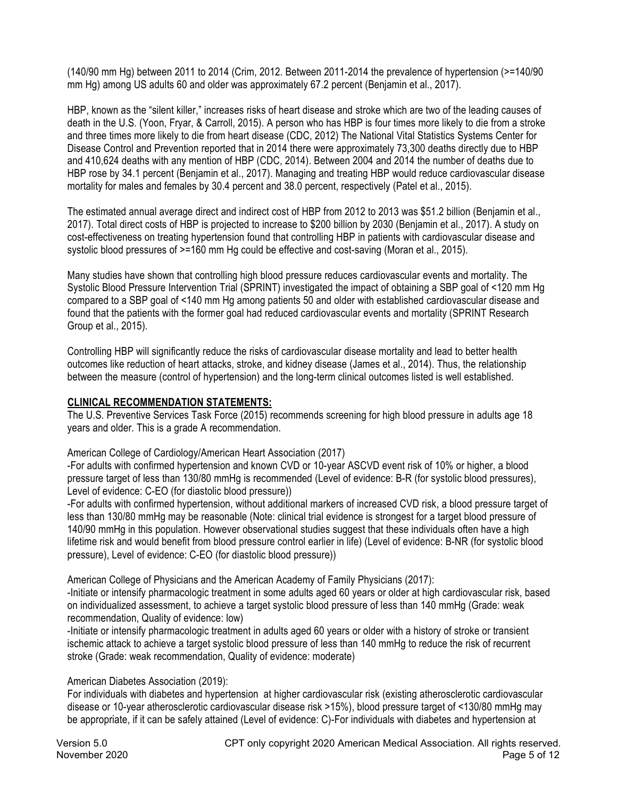(140/90 mm Hg) between 2011 to 2014 (Crim, 2012. Between 2011-2014 the prevalence of hypertension (>=140/90 mm Hg) among US adults 60 and older was approximately 67.2 percent (Benjamin et al., 2017).

HBP, known as the "silent killer," increases risks of heart disease and stroke which are two of the leading causes of death in the U.S. (Yoon, Fryar, & Carroll, 2015). A person who has HBP is four times more likely to die from a stroke and three times more likely to die from heart disease (CDC, 2012) The National Vital Statistics Systems Center for Disease Control and Prevention reported that in 2014 there were approximately 73,300 deaths directly due to HBP and 410,624 deaths with any mention of HBP (CDC, 2014). Between 2004 and 2014 the number of deaths due to HBP rose by 34.1 percent (Benjamin et al., 2017). Managing and treating HBP would reduce cardiovascular disease mortality for males and females by 30.4 percent and 38.0 percent, respectively (Patel et al., 2015).

The estimated annual average direct and indirect cost of HBP from 2012 to 2013 was \$51.2 billion (Benjamin et al., 2017). Total direct costs of HBP is projected to increase to \$200 billion by 2030 (Benjamin et al., 2017). A study on cost-effectiveness on treating hypertension found that controlling HBP in patients with cardiovascular disease and systolic blood pressures of  $\geq$ =160 mm Hg could be effective and cost-saving (Moran et al., 2015).

Many studies have shown that controlling high blood pressure reduces cardiovascular events and mortality. The Systolic Blood Pressure Intervention Trial (SPRINT) investigated the impact of obtaining a SBP goal of <120 mm Hg compared to a SBP goal of <140 mm Hg among patients 50 and older with established cardiovascular disease and found that the patients with the former goal had reduced cardiovascular events and mortality (SPRINT Research Group et al., 2015).

Controlling HBP will significantly reduce the risks of cardiovascular disease mortality and lead to better health outcomes like reduction of heart attacks, stroke, and kidney disease (James et al., 2014). Thus, the relationship between the measure (control of hypertension) and the long-term clinical outcomes listed is well established.

# **CLINICAL RECOMMENDATION STATEMENTS:**

The U.S. Preventive Services Task Force (2015) recommends screening for high blood pressure in adults age 18 years and older. This is a grade A recommendation.

## American College of Cardiology/American Heart Association (2017)

-For adults with confirmed hypertension and known CVD or 10-year ASCVD event risk of 10% or higher, a blood pressure target of less than 130/80 mmHg is recommended (Level of evidence: B-R (for systolic blood pressures), Level of evidence: C-EO (for diastolic blood pressure))

-For adults with confirmed hypertension, without additional markers of increased CVD risk, a blood pressure target of less than 130/80 mmHg may be reasonable (Note: clinical trial evidence is strongest for a target blood pressure of 140/90 mmHg in this population. However observational studies suggest that these individuals often have a high lifetime risk and would benefit from blood pressure control earlier in life) (Level of evidence: B-NR (for systolic blood pressure), Level of evidence: C-EO (for diastolic blood pressure))

American College of Physicians and the American Academy of Family Physicians (2017):

-Initiate or intensify pharmacologic treatment in some adults aged 60 years or older at high cardiovascular risk, based on individualized assessment, to achieve a target systolic blood pressure of less than 140 mmHg (Grade: weak recommendation, Quality of evidence: low)

-Initiate or intensify pharmacologic treatment in adults aged 60 years or older with a history of stroke or transient ischemic attack to achieve a target systolic blood pressure of less than 140 mmHg to reduce the risk of recurrent stroke (Grade: weak recommendation, Quality of evidence: moderate)

# American Diabetes Association (2019):

For individuals with diabetes and hypertension at higher cardiovascular risk (existing atherosclerotic cardiovascular disease or 10-year atherosclerotic cardiovascular disease risk >15%), blood pressure target of <130/80 mmHg may be appropriate, if it can be safely attained (Level of evidence: C)-For individuals with diabetes and hypertension at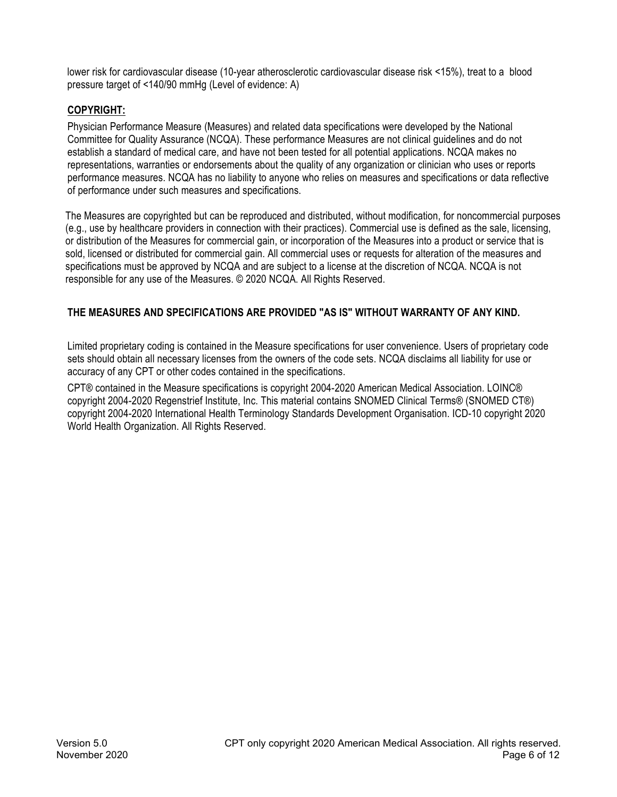lower risk for cardiovascular disease (10-year atherosclerotic cardiovascular disease risk <15%), treat to a blood pressure target of <140/90 mmHg (Level of evidence: A)

# **COPYRIGHT:**

Physician Performance Measure (Measures) and related data specifications were developed by the National Committee for Quality Assurance (NCQA). These performance Measures are not clinical guidelines and do not establish a standard of medical care, and have not been tested for all potential applications. NCQA makes no representations, warranties or endorsements about the quality of any organization or clinician who uses or reports performance measures. NCQA has no liability to anyone who relies on measures and specifications or data reflective of performance under such measures and specifications.

The Measures are copyrighted but can be reproduced and distributed, without modification, for noncommercial purposes (e.g., use by healthcare providers in connection with their practices). Commercial use is defined as the sale, licensing, or distribution of the Measures for commercial gain, or incorporation of the Measures into a product or service that is sold, licensed or distributed for commercial gain. All commercial uses or requests for alteration of the measures and specifications must be approved by NCQA and are subject to a license at the discretion of NCQA. NCQA is not responsible for any use of the Measures. © 2020 NCQA. All Rights Reserved.

# **THE MEASURES AND SPECIFICATIONS ARE PROVIDED "AS IS" WITHOUT WARRANTY OF ANY KIND.**

Limited proprietary coding is contained in the Measure specifications for user convenience. Users of proprietary code sets should obtain all necessary licenses from the owners of the code sets. NCQA disclaims all liability for use or accuracy of any CPT or other codes contained in the specifications.

CPT® contained in the Measure specifications is copyright 2004-2020 American Medical Association. LOINC® copyright 2004-2020 Regenstrief Institute, Inc. This material contains SNOMED Clinical Terms® (SNOMED CT®) copyright 2004-2020 International Health Terminology Standards Development Organisation. ICD-10 copyright 2020 World Health Organization. All Rights Reserved.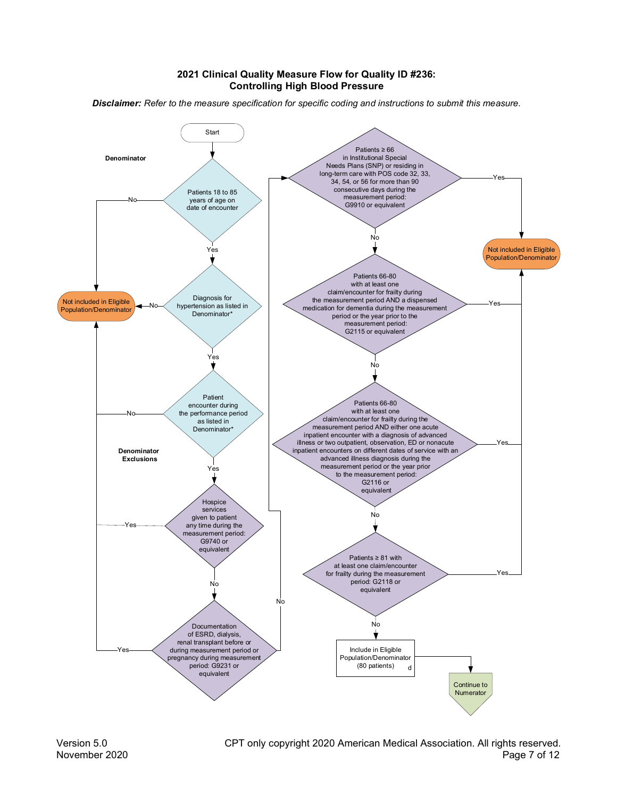#### 2021 Clinical Quality Measure Flow for Quality ID #236: **Controlling High Blood Pressure**

Disclaimer: Refer to the measure specification for specific coding and instructions to submit this measure.

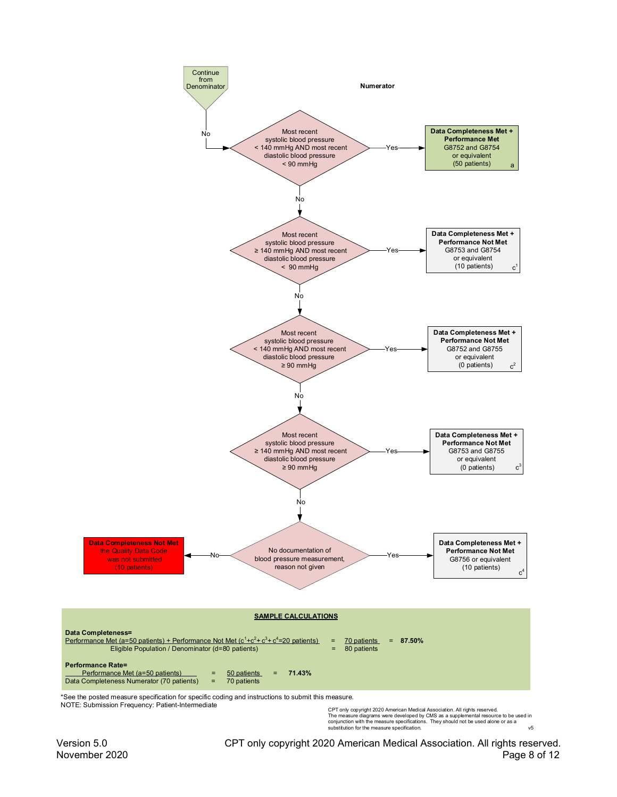

CPT only copyright 2020 American Medical Association. All rights reserved.<br>The measure diagrams were developed by CMS as a supplemental resource to be used in<br>conjunction with the measure specifications. They should not be substitution for the measure specification.  $v<sub>5</sub>$ 

Version 5.0 CPT only copyright 2020 American Medical Association. All rights reserved. November 2020 Page 8 of 12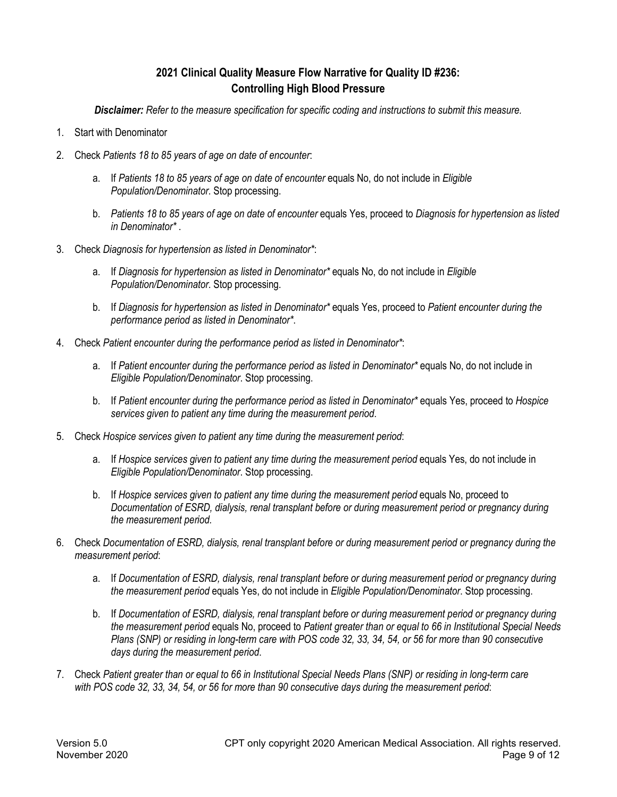# **2021 Clinical Quality Measure Flow Narrative for Quality ID #236: Controlling High Blood Pressure**

*Disclaimer: Refer to the measure specification for specific coding and instructions to submit this measure.*

- 1. Start with Denominator
- 2. Check *Patients 18 to 85 years of age on date of encounter*:
	- a. If *Patients 18 to 85 years of age on date of encounter* equals No, do not include in *Eligible Population/Denominator*. Stop processing.
	- b. *Patients 18 to 85 years of age on date of encounter* equals Yes, proceed to *Diagnosis for hypertension as listed in Denominator\** .
- 3. Check *Diagnosis for hypertension as listed in Denominator\**:
	- a. If *Diagnosis for hypertension as listed in Denominator\** equals No, do not include in *Eligible Population/Denominator*. Stop processing.
	- b. If *Diagnosis for hypertension as listed in Denominator\** equals Yes, proceed to *Patient encounter during the performance period as listed in Denominator\**.
- 4. Check *Patient encounter during the performance period as listed in Denominator\**:
	- a. If *Patient encounter during the performance period as listed in Denominator\** equals No, do not include in *Eligible Population/Denominator*. Stop processing.
	- b. If *Patient encounter during the performance period as listed in Denominator\** equals Yes, proceed to *Hospice services given to patient any time during the measurement period*.
- 5. Check *Hospice services given to patient any time during the measurement period*:
	- a. If *Hospice services given to patient any time during the measurement period* equals Yes, do not include in *Eligible Population/Denominator*. Stop processing.
	- b. If *Hospice services given to patient any time during the measurement period* equals No, proceed to *Documentation of ESRD, dialysis, renal transplant before or during measurement period or pregnancy during the measurement period.*
- 6. Check *Documentation of ESRD, dialysis, renal transplant before or during measurement period or pregnancy during the measurement period*:
	- a. If *Documentation of ESRD, dialysis, renal transplant before or during measurement period or pregnancy during the measurement period* equals Yes, do not include in *Eligible Population/Denominator*. Stop processing.
	- b. If *Documentation of ESRD, dialysis, renal transplant before or during measurement period or pregnancy during the measurement period* equals No, proceed to *Patient greater than or equal to 66 in Institutional Special Needs Plans (SNP) or residing in long-term care with POS code 32, 33, 34, 54, or 56 for more than 90 consecutive days during the measurement period*.
- 7. Check *Patient greater than or equal to 66 in Institutional Special Needs Plans (SNP) or residing in long-term care with POS code 32, 33, 34, 54, or 56 for more than 90 consecutive days during the measurement period*: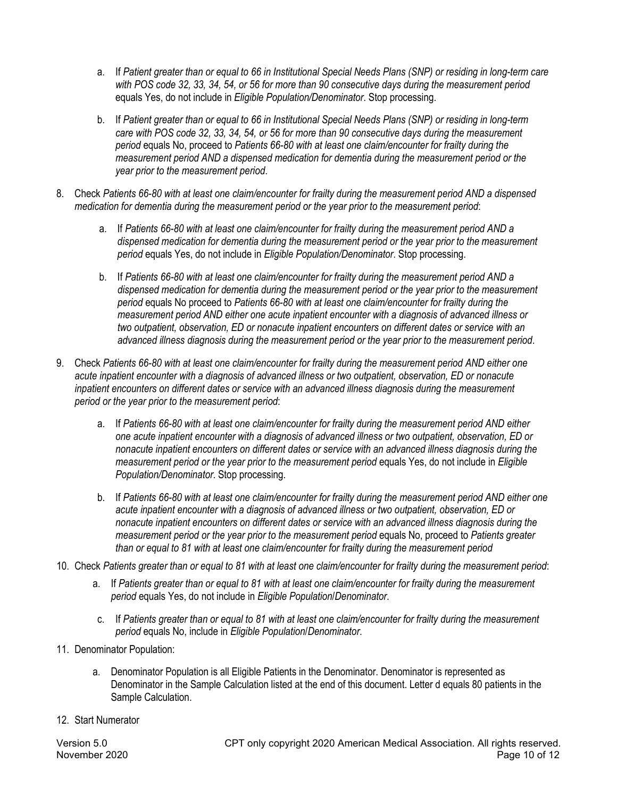- a. If *Patient greater than or equal to 66 in Institutional Special Needs Plans (SNP) or residing in long-term care with POS code 32, 33, 34, 54, or 56 for more than 90 consecutive days during the measurement period* equals Yes, do not include in *Eligible Population/Denominator*. Stop processing.
- b. If *Patient greater than or equal to 66 in Institutional Special Needs Plans (SNP) or residing in long-term care with POS code 32, 33, 34, 54, or 56 for more than 90 consecutive days during the measurement period* equals No, proceed to *Patients 66-80 with at least one claim/encounter for frailty during the measurement period AND a dispensed medication for dementia during the measurement period or the year prior to the measurement period*.
- 8. Check *Patients 66-80 with at least one claim/encounter for frailty during the measurement period AND a dispensed medication for dementia during the measurement period or the year prior to the measurement period*:
	- a. If *Patients 66-80 with at least one claim/encounter for frailty during the measurement period AND a dispensed medication for dementia during the measurement period or the year prior to the measurement period* equals Yes, do not include in *Eligible Population/Denominator*. Stop processing.
	- b. If *Patients 66-80 with at least one claim/encounter for frailty during the measurement period AND a dispensed medication for dementia during the measurement period or the year prior to the measurement period* equals No proceed to *Patients 66-80 with at least one claim/encounter for frailty during the measurement period AND either one acute inpatient encounter with a diagnosis of advanced illness or two outpatient, observation, ED or nonacute inpatient encounters on different dates or service with an advanced illness diagnosis during the measurement period or the year prior to the measurement period*.
- 9. Check *Patients 66-80 with at least one claim/encounter for frailty during the measurement period AND either one acute inpatient encounter with a diagnosis of advanced illness or two outpatient, observation, ED or nonacute inpatient encounters on different dates or service with an advanced illness diagnosis during the measurement period or the year prior to the measurement period*:
	- a. If *Patients 66-80 with at least one claim/encounter for frailty during the measurement period AND either one acute inpatient encounter with a diagnosis of advanced illness or two outpatient, observation, ED or nonacute inpatient encounters on different dates or service with an advanced illness diagnosis during the measurement period or the year prior to the measurement period* equals Yes, do not include in *Eligible Population/Denominator*. Stop processing.
	- b. If *Patients 66-80 with at least one claim/encounter for frailty during the measurement period AND either one acute inpatient encounter with a diagnosis of advanced illness or two outpatient, observation, ED or nonacute inpatient encounters on different dates or service with an advanced illness diagnosis during the measurement period or the year prior to the measurement period* equals No, proceed to *Patients greater than or equal to 81 with at least one claim/encounter for frailty during the measurement period*
- 10. Check *Patients greater than or equal to 81 with at least one claim/encounter for frailty during the measurement period*:
	- a. If *Patients greater than or equal to 81 with at least one claim/encounter for frailty during the measurement period* equals Yes, do not include in *Eligible Population*/*Denominator*.
	- c. If *Patients greater than or equal to 81 with at least one claim/encounter for frailty during the measurement period* equals No, include in *Eligible Population*/*Denominator*.
- 11. Denominator Population:
	- a. Denominator Population is all Eligible Patients in the Denominator. Denominator is represented as Denominator in the Sample Calculation listed at the end of this document. Letter d equals 80 patients in the Sample Calculation.
- 12. Start Numerator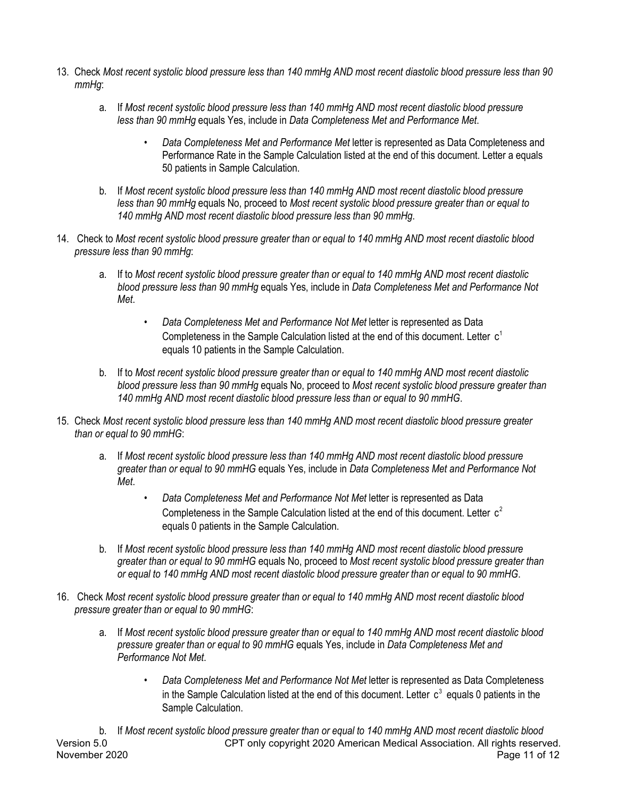- 13. Check *Most recent systolic blood pressure less than 140 mmHg AND most recent diastolic blood pressure less than 90 mmHg*:
	- a. If *Most recent systolic blood pressure less than 140 mmHg AND most recent diastolic blood pressure less than 90 mmHg* equals Yes, include in *Data Completeness Met and Performance Met*.
		- *Data Completeness Met and Performance Met* letter is represented as Data Completeness and Performance Rate in the Sample Calculation listed at the end of this document. Letter a equals 50 patients in Sample Calculation.
	- b. If *Most recent systolic blood pressure less than 140 mmHg AND most recent diastolic blood pressure less than 90 mmHg* equals No, proceed to *Most recent systolic blood pressure greater than or equal to 140 mmHg AND most recent diastolic blood pressure less than 90 mmHg*.
- 14. Check to *Most recent systolic blood pressure greater than or equal to 140 mmHg AND most recent diastolic blood pressure less than 90 mmHg*:
	- a. If to *Most recent systolic blood pressure greater than or equal to 140 mmHg AND most recent diastolic blood pressure less than 90 mmHg* equals Yes, include in *Data Completeness Met and Performance Not Met*.
		- *Data Completeness Met and Performance Not Met* letter is represented as Data Completeness in the Sample Calculation listed at the end of this document. Letter equals 10 patients in the Sample Calculation.
	- b. If to *Most recent systolic blood pressure greater than or equal to 140 mmHg AND most recent diastolic blood pressure less than 90 mmHg* equals No, proceed to *Most recent systolic blood pressure greater than 140 mmHg AND most recent diastolic blood pressure less than or equal to 90 mmHG*.
- 15. Check *Most recent systolic blood pressure less than 140 mmHg AND most recent diastolic blood pressure greater than or equal to 90 mmHG*:
	- a. If *Most recent systolic blood pressure less than 140 mmHg AND most recent diastolic blood pressure greater than or equal to 90 mmHG* equals Yes, include in *Data Completeness Met and Performance Not Met*.
		- *Data Completeness Met and Performance Not Met* letter is represented as Data Completeness in the Sample Calculation listed at the end of this document. Letter  $c^2$ equals 0 patients in the Sample Calculation.
	- b. If *Most recent systolic blood pressure less than 140 mmHg AND most recent diastolic blood pressure greater than or equal to 90 mmHG* equals No, proceed to *Most recent systolic blood pressure greater than or equal to 140 mmHg AND most recent diastolic blood pressure greater than or equal to 90 mmHG*.
- 16. Check *Most recent systolic blood pressure greater than or equal to 140 mmHg AND most recent diastolic blood pressure greater than or equal to 90 mmHG*:
	- a. If *Most recent systolic blood pressure greater than or equal to 140 mmHg AND most recent diastolic blood pressure greater than or equal to 90 mmHG* equals Yes, include in *Data Completeness Met and Performance Not Met*.
		- *Data Completeness Met and Performance Not Met* letter is represented as Data Completeness in the Sample Calculation listed at the end of this document. Letter  $c^3$  equals 0 patients in the Sample Calculation.